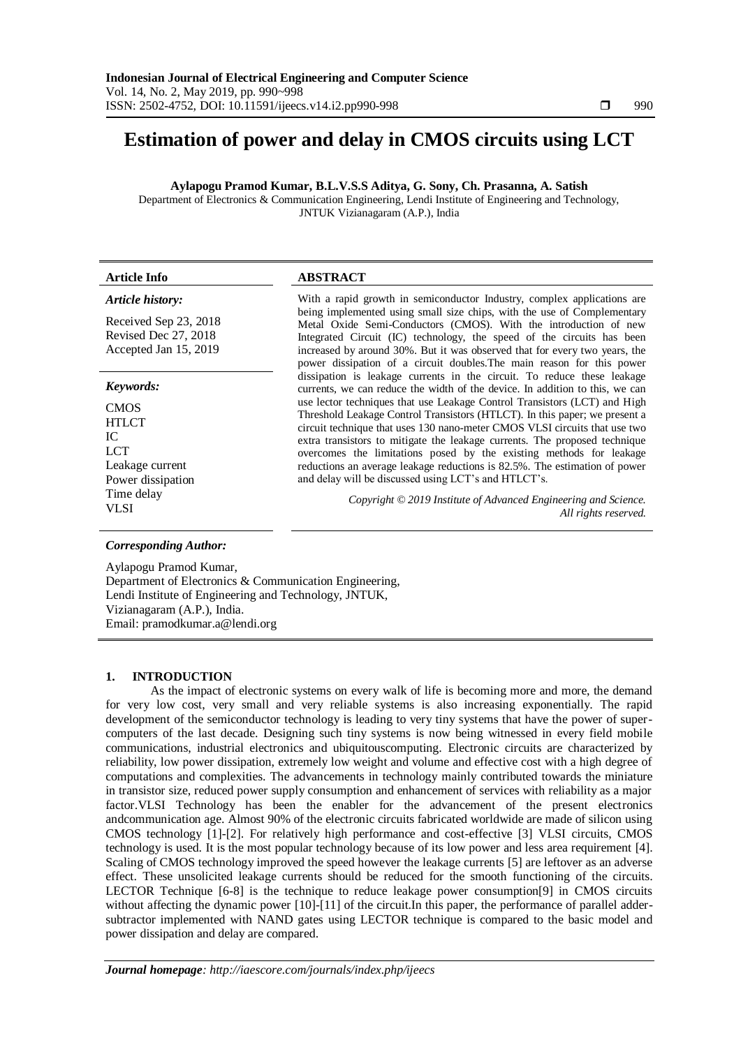# **Estimation of power and delay in CMOS circuits using LCT**

**Aylapogu Pramod Kumar, B.L.V.S.S Aditya, G. Sony, Ch. Prasanna, A. Satish**

Department of Electronics & Communication Engineering, Lendi Institute of Engineering and Technology, JNTUK Vizianagaram (A.P.), India

#### *Article history:*

Received Sep 23, 2018 Revised Dec 27, 2018 Accepted Jan 15, 2019

#### *Keywords:*

**CMOS** HTLCT IC LCT Leakage current Power dissipation Time delay VLSI

# **Article Info ABSTRACT**

With a rapid growth in semiconductor Industry, complex applications are being implemented using small size chips, with the use of Complementary Metal Oxide Semi-Conductors (CMOS). With the introduction of new Integrated Circuit (IC) technology, the speed of the circuits has been increased by around 30%. But it was observed that for every two years, the power dissipation of a circuit doubles.The main reason for this power dissipation is leakage currents in the circuit. To reduce these leakage currents, we can reduce the width of the device. In addition to this, we can use lector techniques that use Leakage Control Transistors (LCT) and High Threshold Leakage Control Transistors (HTLCT). In this paper; we present a circuit technique that uses 130 nano-meter CMOS VLSI circuits that use two extra transistors to mitigate the leakage currents. The proposed technique overcomes the limitations posed by the existing methods for leakage reductions an average leakage reductions is 82.5%. The estimation of power and delay will be discussed using LCT's and HTLCT's.

> *Copyright © 2019 Institute of Advanced Engineering and Science. All rights reserved.*

# *Corresponding Author:*

Aylapogu Pramod Kumar, Department of Electronics & Communication Engineering, Lendi Institute of Engineering and Technology, JNTUK, Vizianagaram (A.P.), India. Email: [pramodkumar.a@lendi.org](mailto:pramodkumar.a@lendi.org)

#### **1. INTRODUCTION**

As the impact of electronic systems on every walk of life is becoming more and more, the demand for very low cost, very small and very reliable systems is also increasing exponentially. The rapid development of the semiconductor technology is leading to very tiny systems that have the power of supercomputers of the last decade. Designing such tiny systems is now being witnessed in every field mobile communications, industrial electronics and ubiquitouscomputing. Electronic circuits are characterized by reliability, low power dissipation, extremely low weight and volume and effective cost with a high degree of computations and complexities. The advancements in technology mainly contributed towards the miniature in transistor size, reduced power supply consumption and enhancement of services with reliability as a major factor.VLSI Technology has been the enabler for the advancement of the present electronics andcommunication age. Almost 90% of the electronic circuits fabricated worldwide are made of silicon using CMOS technology [1]-[2]. For relatively high performance and cost-effective [3] VLSI circuits, CMOS technology is used. It is the most popular technology because of its low power and less area requirement [4]. Scaling of CMOS technology improved the speed however the leakage currents [5] are leftover as an adverse effect. These unsolicited leakage currents should be reduced for the smooth functioning of the circuits. LECTOR Technique [6-8] is the technique to reduce leakage power consumption[9] in CMOS circuits without affecting the dynamic power [10]-[11] of the circuit. In this paper, the performance of parallel addersubtractor implemented with NAND gates using LECTOR technique is compared to the basic model and power dissipation and delay are compared.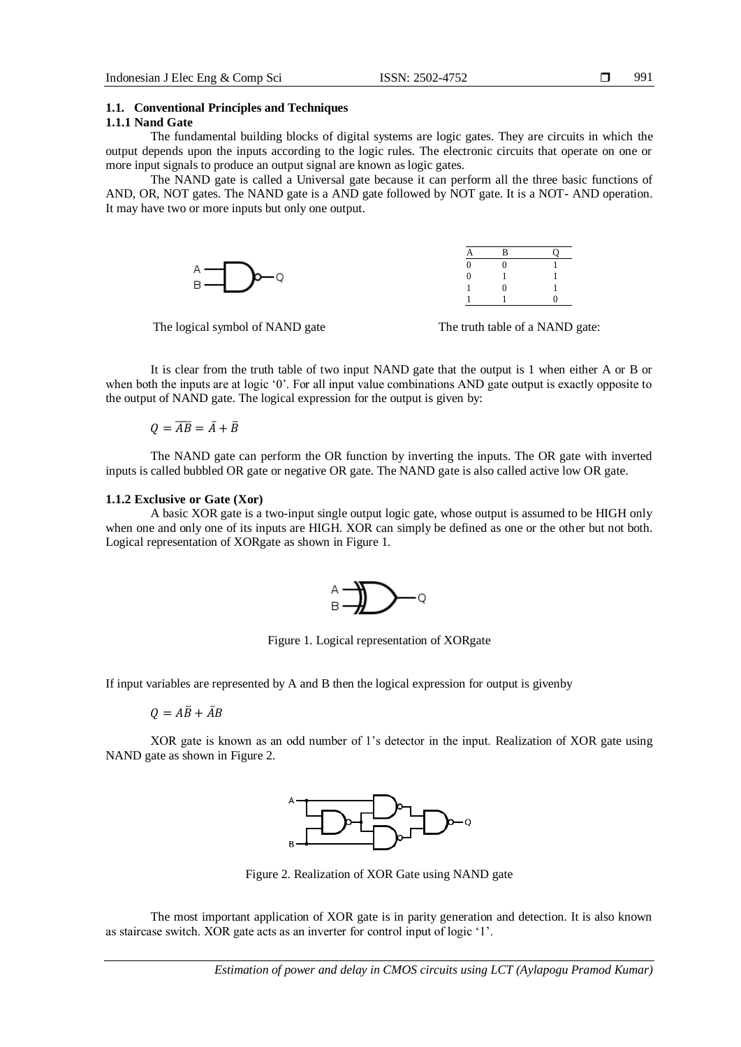991

# **1.1. Conventional Principles and Techniques**

#### **1.1.1 Nand Gate**

The fundamental building blocks of digital systems are logic gates. They are circuits in which the output depends upon the inputs according to the logic rules. The electronic circuits that operate on one or more input signals to produce an output signal are known as logic gates.

The NAND gate is called a Universal gate because it can perform all the three basic functions of AND, OR, NOT gates. The NAND gate is a AND gate followed by NOT gate. It is a NOT- AND operation. It may have two or more inputs but only one output.





The logical symbol of NAND gate The truth table of a NAND gate:

It is clear from the truth table of two input NAND gate that the output is 1 when either A or B or when both the inputs are at logic '0'. For all input value combinations AND gate output is exactly opposite to the output of NAND gate. The logical expression for the output is given by:

 $Q = \overline{AB} = \overline{A} + \overline{B}$ 

The NAND gate can perform the OR function by inverting the inputs. The OR gate with inverted inputs is called bubbled OR gate or negative OR gate. The NAND gate is also called active low OR gate.

#### **1.1.2 Exclusive or Gate (Xor)**

A basic XOR gate is a two-input single output logic gate, whose output is assumed to be HIGH only when one and only one of its inputs are HIGH. XOR can simply be defined as one or the other but not both. Logical representation of XORgate as shown in Figure 1.



Figure 1. Logical representation of XORgate

If input variables are represented by A and B then the logical expression for output is givenby

 $Q = A\overline{B} + \overline{A}B$ 

XOR gate is known as an odd number of 1's detector in the input. Realization of XOR gate using NAND gate as shown in Figure 2.



Figure 2. Realization of XOR Gate using NAND gate

The most important application of XOR gate is in parity generation and detection. It is also known as staircase switch. XOR gate acts as an inverter for control input of logic '1'.

*Estimation of power and delay in CMOS circuits using LCT (Aylapogu Pramod Kumar)*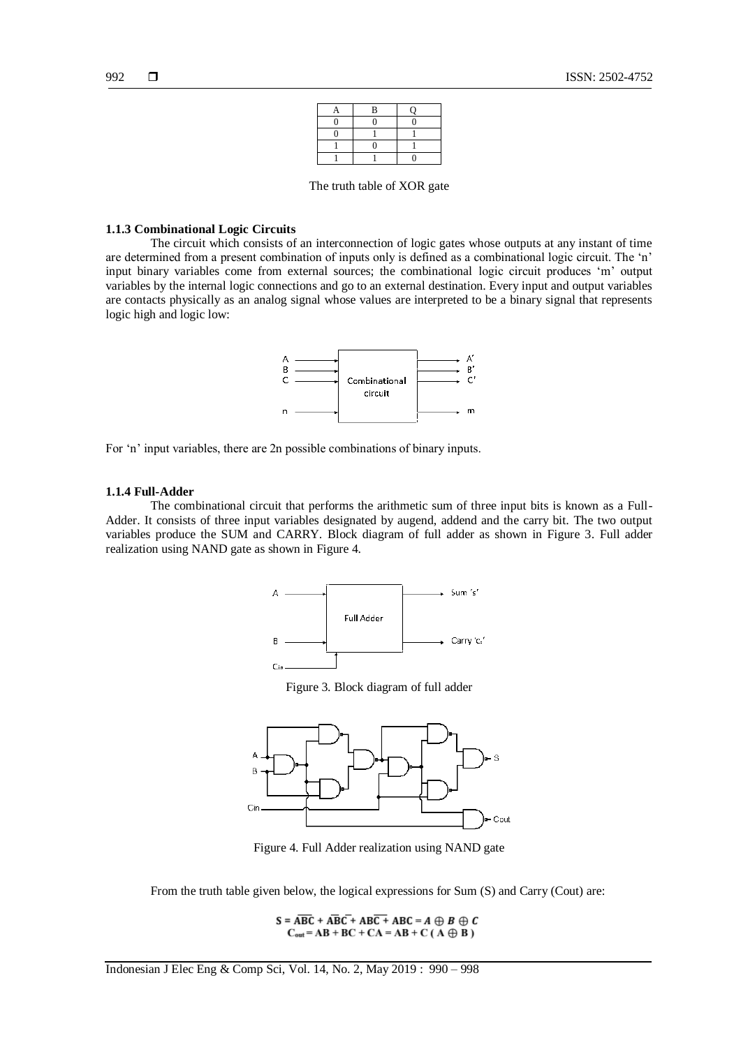| R |  |
|---|--|
|   |  |
|   |  |
|   |  |
|   |  |

The truth table of XOR gate

#### **1.1.3 Combinational Logic Circuits**

The circuit which consists of an interconnection of logic gates whose outputs at any instant of time are determined from a present combination of inputs only is defined as a combinational logic circuit. The 'n' input binary variables come from external sources; the combinational logic circuit produces 'm' output variables by the internal logic connections and go to an external destination. Every input and output variables are contacts physically as an analog signal whose values are interpreted to be a binary signal that represents logic high and logic low:



For 'n' input variables, there are 2n possible combinations of binary inputs.

#### **1.1.4 Full-Adder**

The combinational circuit that performs the arithmetic sum of three input bits is known as a Full-Adder. It consists of three input variables designated by augend, addend and the carry bit. The two output variables produce the SUM and CARRY. Block diagram of full adder as shown in Figure 3. Full adder realization using NAND gate as shown in Figure 4.



Figure 3. Block diagram of full adder



Figure 4. Full Adder realization using NAND gate

From the truth table given below, the logical expressions for Sum (S) and Carry (Cout) are:

 $S = \overline{ABC} + \overline{ABC} + \overline{ABC} + \overline{ABC} + \overline{ABC} = A \oplus B \oplus C$  $C_{out} = AB + BC + CA = AB + C (A \oplus B)$ 

Indonesian J Elec Eng & Comp Sci, Vol. 14, No. 2, May 2019 : 990 – 998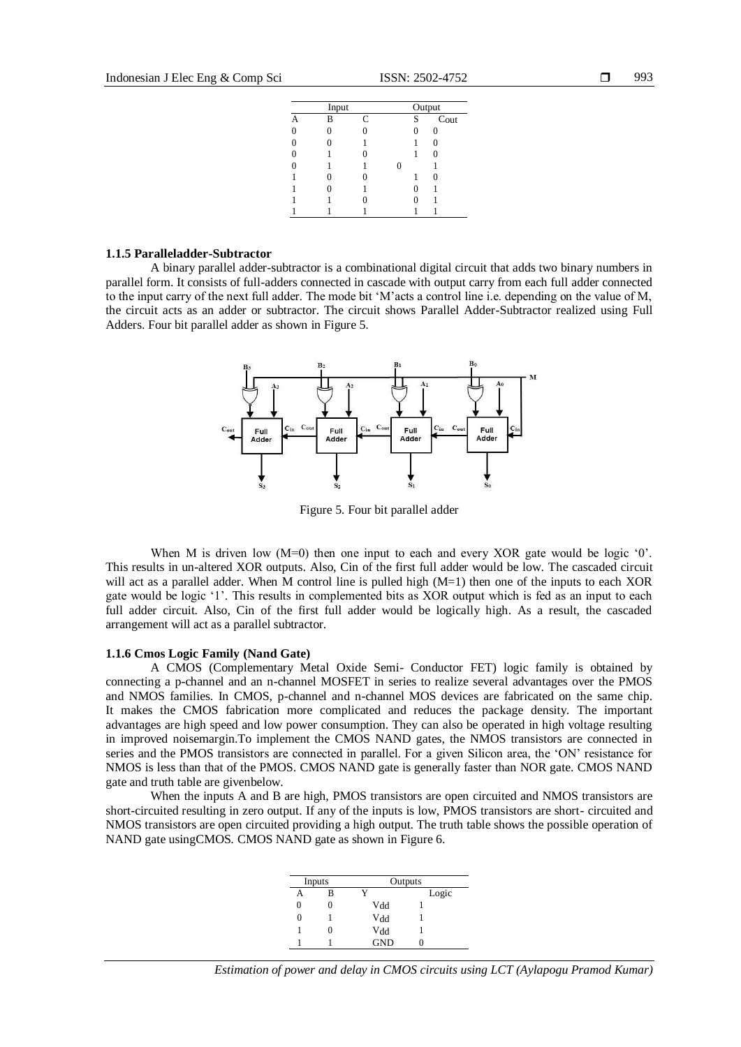| Input |   |   | Output |   |      |  |
|-------|---|---|--------|---|------|--|
|       | B | C |        | S | Cout |  |
|       |   |   |        |   |      |  |
|       |   |   |        |   |      |  |
|       |   |   |        |   |      |  |
|       |   |   |        |   |      |  |
|       |   |   |        |   |      |  |
|       |   |   |        |   |      |  |
|       |   |   |        |   |      |  |
|       |   |   |        |   |      |  |

#### **1.1.5 Paralleladder-Subtractor**

A binary parallel adder-subtractor is a combinational digital circuit that adds two binary numbers in parallel form. It consists of full-adders connected in cascade with output carry from each full adder connected to the input carry of the next full adder. The mode bit 'M'acts a control line i.e. depending on the value of M, the circuit acts as an adder or subtractor. The circuit shows Parallel Adder-Subtractor realized using Full Adders. Four bit parallel adder as shown in Figure 5.



Figure 5. Four bit parallel adder

When M is driven low  $(M=0)$  then one input to each and every XOR gate would be logic '0'. This results in un-altered XOR outputs. Also, Cin of the first full adder would be low. The cascaded circuit will act as a parallel adder. When M control line is pulled high (M=1) then one of the inputs to each XOR gate would be logic '1'. This results in complemented bits as XOR output which is fed as an input to each full adder circuit. Also, Cin of the first full adder would be logically high. As a result, the cascaded arrangement will act as a parallel subtractor.

#### **1.1.6 Cmos Logic Family (Nand Gate)**

A CMOS (Complementary Metal Oxide Semi- Conductor FET) logic family is obtained by connecting a p-channel and an n-channel MOSFET in series to realize several advantages over the PMOS and NMOS families. In CMOS, p-channel and n-channel MOS devices are fabricated on the same chip. It makes the CMOS fabrication more complicated and reduces the package density. The important advantages are high speed and low power consumption. They can also be operated in high voltage resulting in improved noisemargin.To implement the CMOS NAND gates, the NMOS transistors are connected in series and the PMOS transistors are connected in parallel. For a given Silicon area, the 'ON' resistance for NMOS is less than that of the PMOS. CMOS NAND gate is generally faster than NOR gate. CMOS NAND gate and truth table are givenbelow.

When the inputs A and B are high, PMOS transistors are open circuited and NMOS transistors are short-circuited resulting in zero output. If any of the inputs is low, PMOS transistors are short- circuited and NMOS transistors are open circuited providing a high output. The truth table shows the possible operation of NAND gate usingCMOS. CMOS NAND gate as shown in Figure 6.

| Inputs |   | Outputs    |       |
|--------|---|------------|-------|
| А      | B |            | Logic |
| 0      | U | Vdd        |       |
| 0      |   | Vdd        |       |
|        | U | Vdd        |       |
|        |   | <b>GND</b> |       |

*Estimation of power and delay in CMOS circuits using LCT (Aylapogu Pramod Kumar)*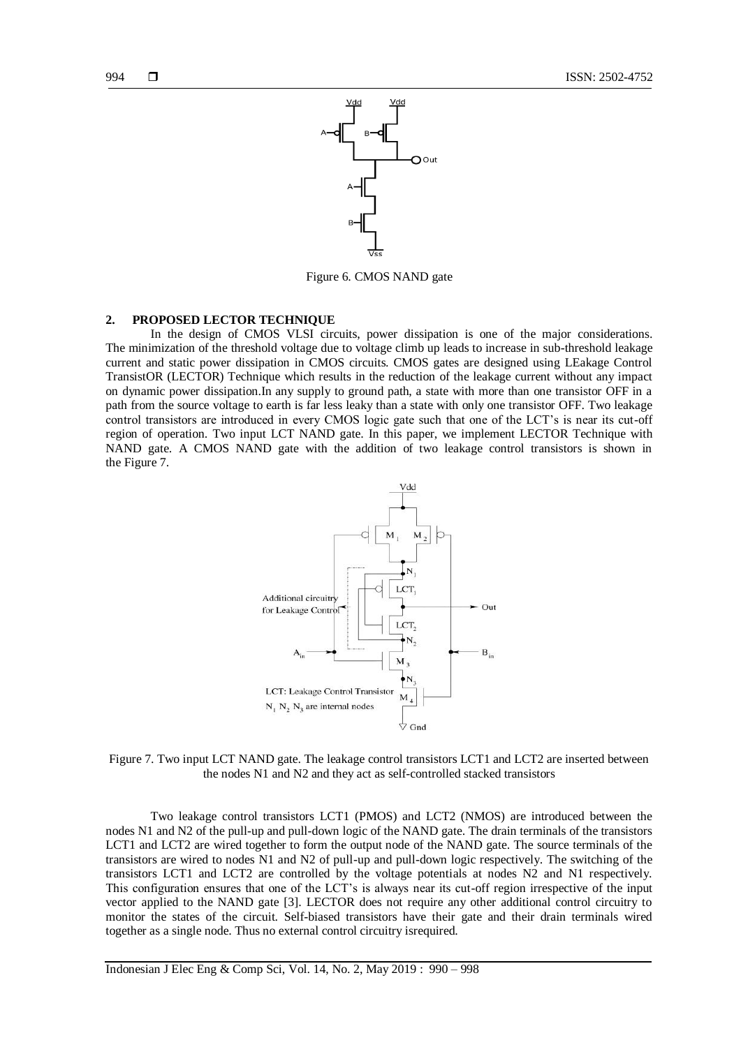

Figure 6. CMOS NAND gate

# **2. PROPOSED LECTOR TECHNIQUE**

In the design of CMOS VLSI circuits, power dissipation is one of the major considerations. The minimization of the threshold voltage due to voltage climb up leads to increase in sub-threshold leakage current and static power dissipation in CMOS circuits. CMOS gates are designed using LEakage Control TransistOR (LECTOR) Technique which results in the reduction of the leakage current without any impact on dynamic power dissipation.In any supply to ground path, a state with more than one transistor OFF in a path from the source voltage to earth is far less leaky than a state with only one transistor OFF. Two leakage control transistors are introduced in every CMOS logic gate such that one of the LCT's is near its cut-off region of operation. Two input LCT NAND gate. In this paper, we implement LECTOR Technique with NAND gate. A CMOS NAND gate with the addition of two leakage control transistors is shown in the Figure 7.



Figure 7. Two input LCT NAND gate. The leakage control transistors LCT1 and LCT2 are inserted between the nodes N1 and N2 and they act as self-controlled stacked transistors

Two leakage control transistors LCT1 (PMOS) and LCT2 (NMOS) are introduced between the nodes N1 and N2 of the pull-up and pull-down logic of the NAND gate. The drain terminals of the transistors LCT1 and LCT2 are wired together to form the output node of the NAND gate. The source terminals of the transistors are wired to nodes N1 and N2 of pull-up and pull-down logic respectively. The switching of the transistors LCT1 and LCT2 are controlled by the voltage potentials at nodes N2 and N1 respectively. This configuration ensures that one of the LCT's is always near its cut-off region irrespective of the input vector applied to the NAND gate [3]. LECTOR does not require any other additional control circuitry to monitor the states of the circuit. Self-biased transistors have their gate and their drain terminals wired together as a single node. Thus no external control circuitry isrequired.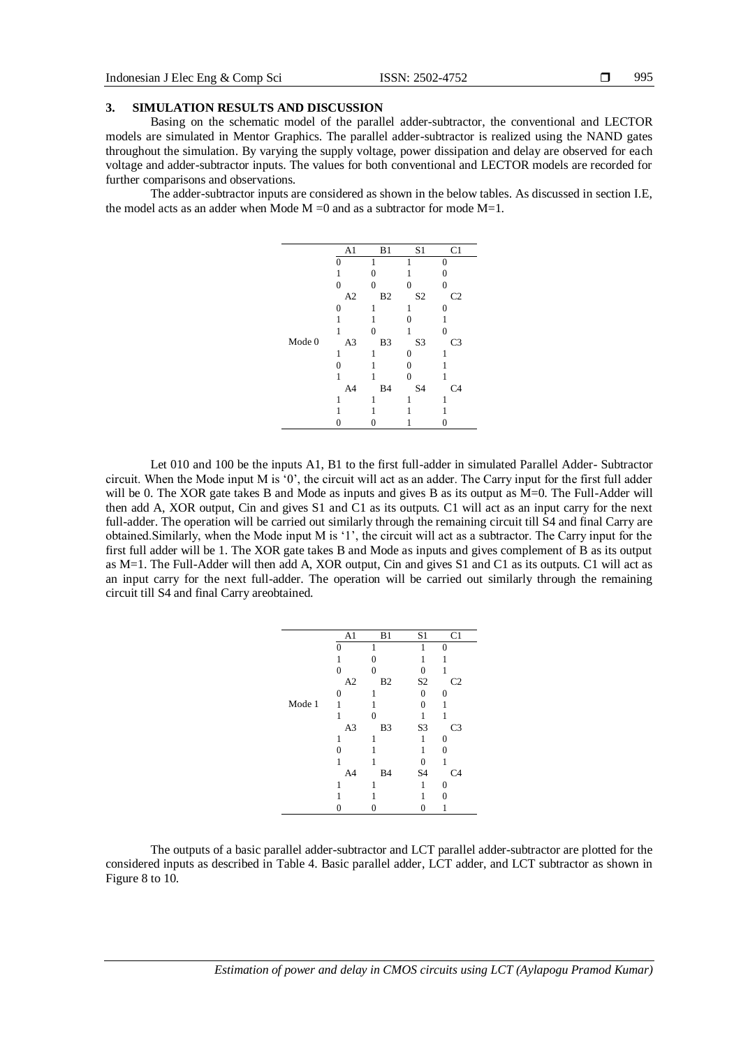### **3. SIMULATION RESULTS AND DISCUSSION**

Basing on the schematic model of the parallel adder-subtractor, the conventional and LECTOR models are simulated in Mentor Graphics. The parallel adder-subtractor is realized using the NAND gates throughout the simulation. By varying the supply voltage, power dissipation and delay are observed for each voltage and adder-subtractor inputs. The values for both conventional and LECTOR models are recorded for further comparisons and observations.

The adder-subtractor inputs are considered as shown in the below tables. As discussed in section I.E, the model acts as an adder when Mode  $M = 0$  and as a subtractor for mode  $M = 1$ .

|        | A1             | B1             | S1               | C <sub>1</sub> |
|--------|----------------|----------------|------------------|----------------|
|        | 0              |                | 1                | $\Omega$       |
|        | 1              | $\theta$       |                  | $\theta$       |
|        | 0              | $\theta$       | 0                | $\theta$       |
|        | A2             | B <sub>2</sub> | S <sub>2</sub>   | C <sub>2</sub> |
|        | $\overline{0}$ | 1              | 1                | 0              |
|        | 1              |                | $\theta$         |                |
|        | 1              | $\theta$       | 1                | $\Omega$       |
| Mode 0 | A <sub>3</sub> | B3             | S <sub>3</sub>   | C3             |
|        | 1              | 1              | $\boldsymbol{0}$ | 1              |
|        | $\Omega$       |                | $\theta$         |                |
|        | 1              | 1              | $\theta$         | 1              |
|        | A4             | <b>B</b> 4     | S <sub>4</sub>   | C <sub>4</sub> |
|        | 1              | 1              | 1                | 1              |
|        |                |                |                  |                |
|        | 0              | 0              | 1                | 0              |

Let 010 and 100 be the inputs A1, B1 to the first full-adder in simulated Parallel Adder- Subtractor circuit. When the Mode input M is '0', the circuit will act as an adder. The Carry input for the first full adder will be 0. The XOR gate takes B and Mode as inputs and gives B as its output as  $M=0$ . The Full-Adder will then add A, XOR output, Cin and gives S1 and C1 as its outputs. C1 will act as an input carry for the next full-adder. The operation will be carried out similarly through the remaining circuit till S4 and final Carry are obtained.Similarly, when the Mode input M is '1', the circuit will act as a subtractor. The Carry input for the first full adder will be 1. The XOR gate takes B and Mode as inputs and gives complement of B as its output as M=1. The Full-Adder will then add A, XOR output, Cin and gives S1 and C1 as its outputs. C1 will act as an input carry for the next full-adder. The operation will be carried out similarly through the remaining circuit till S4 and final Carry areobtained.

|        | A <sub>1</sub> | B1             | S1             | C <sub>1</sub>   |
|--------|----------------|----------------|----------------|------------------|
|        | $\theta$       | 1              | 1              | 0                |
|        | 1              | 0              | 1              | 1                |
|        | $\theta$       | $\theta$       | 0              | 1                |
|        | A2             | B <sub>2</sub> | S <sub>2</sub> | C <sub>2</sub>   |
|        | 0              | 1              | 0              | 0                |
| Mode 1 | 1              |                | $\overline{0}$ | 1                |
|        | 1              | $\theta$       | 1              | 1                |
|        | A <sub>3</sub> | B <sub>3</sub> | S <sub>3</sub> | C <sub>3</sub>   |
|        | 1              | 1              | 1              | $\boldsymbol{0}$ |
|        | 0              |                | 1              | $\overline{0}$   |
|        | 1              | 1              | 0              | 1                |
|        | A4             | <b>B4</b>      | S <sub>4</sub> | C <sub>4</sub>   |
|        | 1              | 1              | 1              | $\boldsymbol{0}$ |
|        |                |                |                | 0                |
|        | 0              | 0              | 0              |                  |
|        |                |                |                |                  |

The outputs of a basic parallel adder-subtractor and LCT parallel adder-subtractor are plotted for the considered inputs as described in Table 4. Basic parallel adder, LCT adder, and LCT subtractor as shown in Figure 8 to 10.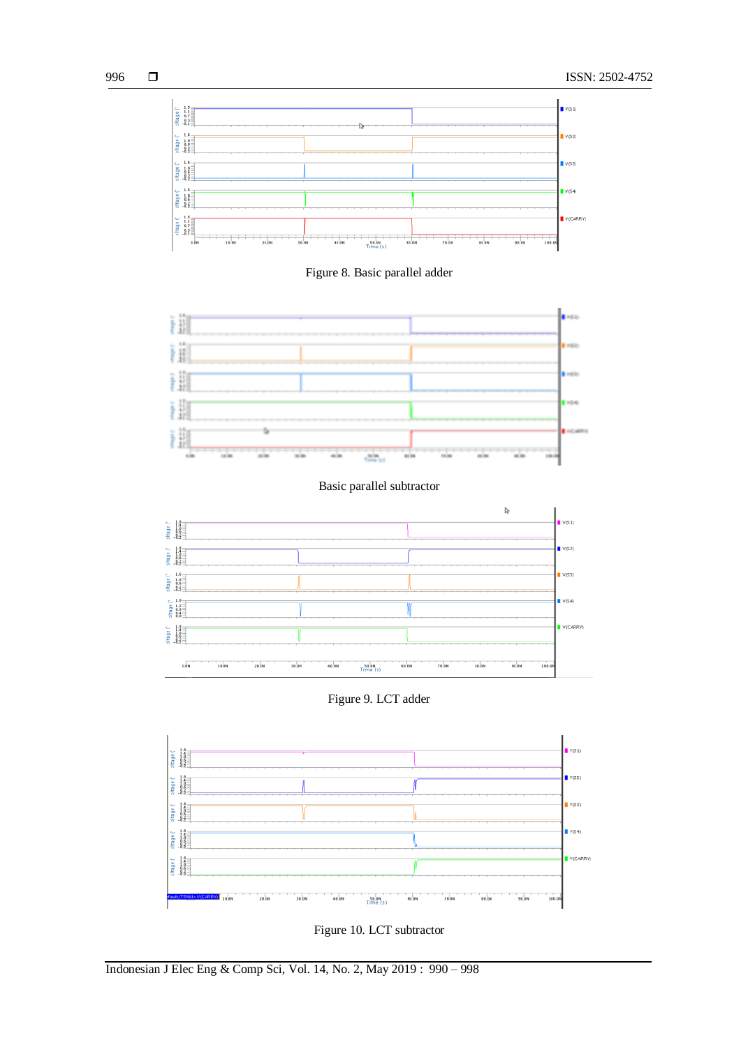

Figure 8. Basic parallel adder



Basic parallel subtractor



Figure 9. LCT adder



Figure 10. LCT subtractor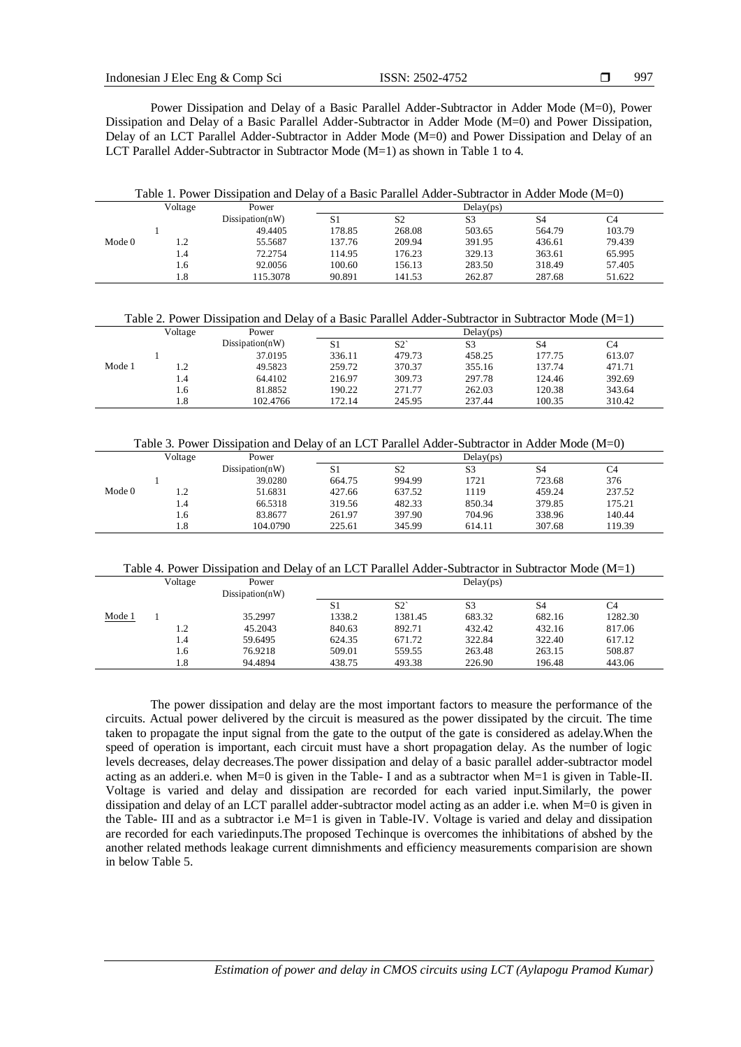997

Power Dissipation and Delay of a Basic Parallel Adder-Subtractor in Adder Mode (M=0), Power Dissipation and Delay of a Basic Parallel Adder-Subtractor in Adder Mode (M=0) and Power Dissipation, Delay of an LCT Parallel Adder-Subtractor in Adder Mode (M=0) and Power Dissipation and Delay of an LCT Parallel Adder-Subtractor in Subtractor Mode (M=1) as shown in Table 1 to 4.

|  | Table 1. Power Dissipation and Delay of a Basic Parallel Adder-Subtractor in Adder Mode $(M=0)$ |  |
|--|-------------------------------------------------------------------------------------------------|--|
|  |                                                                                                 |  |

|                   | Voltage | Power            |        |        | Delay(ps) |                |        |
|-------------------|---------|------------------|--------|--------|-----------|----------------|--------|
|                   |         | Disisipation(nW) | S1     | S2     | S3        | S <sub>4</sub> | C4     |
|                   |         | 49.4405          | 178.85 | 268.08 | 503.65    | 564.79         | 103.79 |
| Mode <sub>0</sub> | .       | 55.5687          | 137.76 | 209.94 | 391.95    | 436.61         | 79.439 |
|                   | 1.4     | 72.2754          | 114.95 | 176.23 | 329.13    | 363.61         | 65.995 |
|                   | 1.6     | 92.0056          | 100.60 | 156.13 | 283.50    | 318.49         | 57.405 |
|                   | 1.8     | 115.3078         | 90.891 | 141.53 | 262.87    | 287.68         | 51.622 |

Table 2. Power Dissipation and Delay of a Basic Parallel Adder-Subtractor in Subtractor Mode (M=1)

|        | Voltage | Power            |        |        | Delay(ps)      |                |        |  |
|--------|---------|------------------|--------|--------|----------------|----------------|--------|--|
|        |         | Disisipation(nW) | S1     | S2     | S <sub>3</sub> | S <sub>4</sub> | C4     |  |
|        |         | 37.0195          | 336.11 | 479.73 | 458.25         | 177.75         | 613.07 |  |
| Mode 1 |         | 49.5823          | 259.72 | 370.37 | 355.16         | 137.74         | 471.71 |  |
|        | 1.4     | 64.4102          | 216.97 | 309.73 | 297.78         | 124.46         | 392.69 |  |
|        | 1.6     | 81.8852          | 190.22 | 271.77 | 262.03         | 120.38         | 343.64 |  |
|        | 1.8     | 102.4766         | 172.14 | 245.95 | 237.44         | 100.35         | 310.42 |  |

|                   | Voltage | Power            |        |                | Delay(ps)      |        |        |  |
|-------------------|---------|------------------|--------|----------------|----------------|--------|--------|--|
|                   |         | Disisipation(nW) | S1     | S <sub>2</sub> | S <sub>3</sub> | S4     | C4     |  |
|                   |         | 39.0280          | 664.75 | 994.99         | 1721           | 723.68 | 376    |  |
| Mode <sub>0</sub> |         | 51.6831          | 427.66 | 637.52         | 1119           | 459.24 | 237.52 |  |
|                   | 1.4     | 66.5318          | 319.56 | 482.33         | 850.34         | 379.85 | 175.21 |  |
|                   | 1.6     | 83.8677          | 261.97 | 397.90         | 704.96         | 338.96 | 140.44 |  |
|                   | 1.8     | 104.0790         | 225.61 | 345.99         | 614.11         | 307.68 | 119.39 |  |
|                   |         |                  |        |                |                |        |        |  |

Table 4. Power Dissipation and Delay of an LCT Parallel Adder-Subtractor in Subtractor Mode (M=1)

|        | Voltage | Power            |        |         | Delay(ps)      |        |         |
|--------|---------|------------------|--------|---------|----------------|--------|---------|
|        |         | Disisipation(nW) |        |         |                |        |         |
|        |         |                  | S1     | S2      | S <sub>3</sub> | S4     | C4      |
| Mode 1 |         | 35.2997          | 1338.2 | 1381.45 | 683.32         | 682.16 | 1282.30 |
|        | 1.2     | 45.2043          | 840.63 | 892.71  | 432.42         | 432.16 | 817.06  |
|        | 1.4     | 59.6495          | 624.35 | 671.72  | 322.84         | 322.40 | 617.12  |
|        | 1.6     | 76.9218          | 509.01 | 559.55  | 263.48         | 263.15 | 508.87  |
|        | 1.8     | 94.4894          | 438.75 | 493.38  | 226.90         | 196.48 | 443.06  |

The power dissipation and delay are the most important factors to measure the performance of the circuits. Actual power delivered by the circuit is measured as the power dissipated by the circuit. The time taken to propagate the input signal from the gate to the output of the gate is considered as adelay.When the speed of operation is important, each circuit must have a short propagation delay. As the number of logic levels decreases, delay decreases.The power dissipation and delay of a basic parallel adder-subtractor model acting as an adderi.e. when M=0 is given in the Table- I and as a subtractor when M=1 is given in Table-II. Voltage is varied and delay and dissipation are recorded for each varied input.Similarly, the power dissipation and delay of an LCT parallel adder-subtractor model acting as an adder i.e. when M=0 is given in the Table- III and as a subtractor i.e M=1 is given in Table-IV. Voltage is varied and delay and dissipation are recorded for each variedinputs.The proposed Techinque is overcomes the inhibitations of abshed by the another related methods leakage current dimnishments and efficiency measurements comparision are shown in below Table 5.